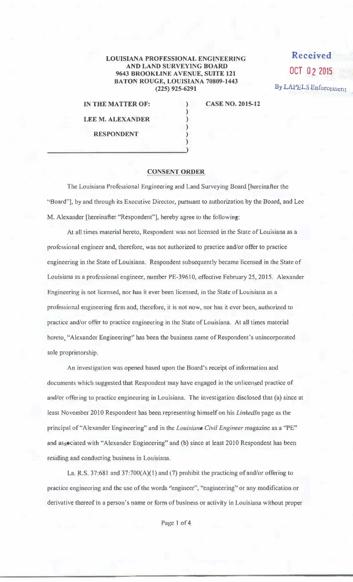## LOUISIANA PROFESSIONAL ENGINEERING AND LAND SURVEYING BOARD 9643 BROOKLINE AVENUE, SUITE 121 BATON ROUGE, LOUISIANA 70809-1443 (225) 925-6291

) ) ) ) ) )

**Received OCT O 2 2015**  By LAPELS Enforcement

IN THE MATTER OF:

CASE NO. 2015-12

LEE M. ALEXANDER RESPONDENT

## CONSENT ORDER

The Louisiana Professional Engineering and Land Surveying Board [hereinafter the ' Board"], by and through its Executive Director, pursuant to authorization by the Board, and Lee M. Alexander [hereinafter "Respondent"], hereby agree to the following:

At all times material hereto, Respondent was not licensed in the State of Louisiana as a professional engineer and, therefore, was not authorized to practice and/or offer to practice engineering in the State of Louisiana. Respondent subsequently became licensed in the State of Louisiana as a professional engineer, number PE-39610, effective Febmary 25, 2015. Alexander Engineering is not licensed, nor has it ever been licensed, in the State of Louisiana as a professional engineering firm and, therefore, it is not now, nor has it ever been, authorized to practice and/or offer to practice engineering in the State of Louisiana. At all times material hereto, "Alexander Engineering" has been the business name of Respondent's unincorporated sole proprietorship.

An investigation was opened based upon the Board's receipt of information and documents which suggested that Respondent may have engaged in the unlicensed practice of and/or offering to practice engineering in Louisiana. The investigation disclosed that (a) since at least November 2010 Respondent has been representing himself on his *Linkedln* page as the principal of"Alexander Engineering" and in the *Louisiana Civil Engineer* magazine as a ''PE" and associated with "Alexander Engineering" and (b) since at least 2010 Respondent has been residing and conducting business in Louisiana.

La. R.S. 37:681 and 37:700(A)(1) and (7) prohibit the practicing of and/or offering to practice engineering and the use of the words "engineer", "engineering" or any modification or derivative thereof in a person's name or form of business or activity in Louisiana without proper

Page 1 of 4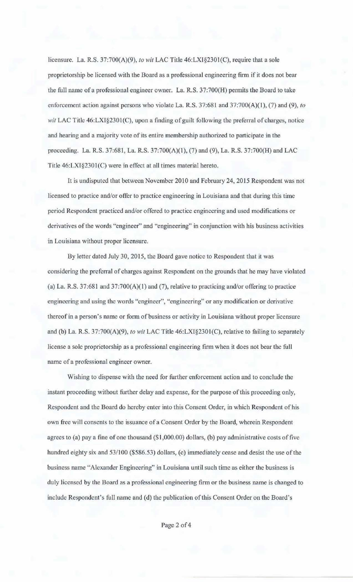licensure. La. R.S. 37:700(A)(9), *to wit* LAC Title 46:LXI§2301 (C), require that a sole proprietorship be licensed with the Board as a professional engineering firm if it does not bear the foll name of a professional engineer owner. La. R.S. 37:700(H) permits the Board to take enforcement action against persons who violate La. R.S. 37:681 and 37:700(A)(I), (7) and (9), *to wit* LAC Title 46:LXI§2301(C), upon a finding of guilt following the preferral of charges, notice and hearing and a majority vote of its entire membership authorized to participate in the proceeding. La. R.S. 37:681, La. R.S. 37:700(A)(1), (7) and (9), La. R.S. 37:700(H) and LAC Title 46:LXI§2301(C) were in effect at all times material hereto.

It is undisputed that between November 2010 and February 24, 2015 Respondent was not licensed to practice and/or offer to practice engineering in Louisiana and that during this time period Respondent practiced and/or offered to practice engineering and used modifications or derivatives of the words "engineer" and "engineering" in conjunction with his business activities in Louisiana without proper licensure.

By letter dated July 30, 2015, the Board gave notice to Respondent that it was considering the preferral of charges against Respondent on the grounds that he may have violated (a) La. R.S. 37:681 and 37:700(A)(l) and (7), relative to practicing and/or offering to practice engineering and using the words "engineer", "engineering" or any modification or derivative thereof in a person's name or form of business or activity in Louisiana without proper licensure and (b) La. R.S. 37:700(A)(9), *to wit* LAC Title 46:LX1§2301(C), relative to failing to separately license a sole proprietorship as a professional engineering firm when it does not bear the full name of a professional engineer owner.

Wishing to dispense with the need for further enforcement action and to conclude the instant proceeding without further delay and expense, for the purpose of this proceeding only, Respondent and the Board do hereby enter into this Consent Order, in which Respondent of his own free will consents to the issuance of a Consent Order by the Board, wherein Respondent agrees to (a) pay a fine of one thousand (\$1,000.00) dollars, (b) pay administrative costs of five hundred eighty six and 53/100 (\$586.53) dollars, (c) immediately cease and desist the use of the business name "Alexander Engineering" in Louisiana until such time as either the business is duly licensed by the Board as a professional engineering firm or the business name is changed to include Respondent's full name and (d) the publication of this Consent Order on the Board's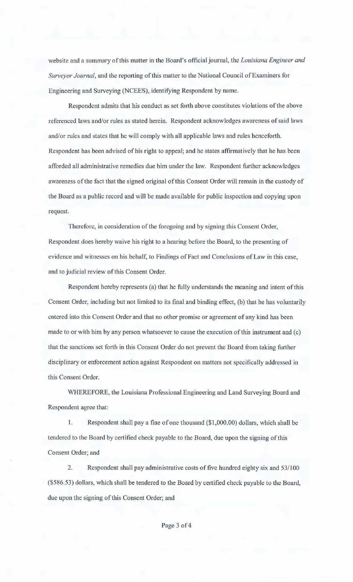website and a summary of this matter in the Board's official journal, the *Louisiana Engineer and Surveyor Journal*, and the reporting of this matter to the National Council of Examiners for Engineering and Surveying (NCEES), identifying Respondenl by name.

Respondent admits that his conduct as set forth above constitules violations of the above referenced laws and/or rules as stated herein. Respondent acknowledges awareness of said laws and/or rules and states that he will comply with all applicable laws and rules henceforth. Respondent has been advised of bis right to appeal; and he states affirmatively that he has been afforded all administrative remedies due him under the law. Respondent further acknowledges awareness of the fact that the signed original of this Consent Order will remain in the custody of the Board as a public record and will be made available for public inspection and copying upon request.

Therefore, in consideration of the foregoing and by signing this Consent Order, Respondent does hereby waive his right to a hearing before the Board, to the presenting of evidence and witnesses on his behalf, to Findings of Fact and Conclusions of Law in this case, and to judicial review of this Consent Order.

Respondent hereby represents (a) that he fully understands the meaning and intent of this Consent Order, including but not limited to its final and binding effect, (b) that he has voluntarily entered into this Consent Order and that no other promise or agreement of any kind has been made to or with him by any person whatsoever to cause the execution of this instrument and (c) that the sanctions set forth in this Consent Order do not prevent the Board from taking further disciplinary or enforcement action against Respondent on matters not specifically addressed in this Consent Order.

WHEREFORE, the Louisiana Professional Engineering and Land Surveying Board and Respondent agree that:

l. Respondent shall pay a tine of one thousand (\$1,000.00) dollars, which shall be tendered to the Board by certified check payable to the Board, due upon the signing of this Consent Order; and

2. Respondent shall pay administrative costs of five hundred eighty six and 53/100 (\$586.53) dollars, which shall be tendered to the Board by certified check payable to the Board, due upon the signing of this Consent Order; and